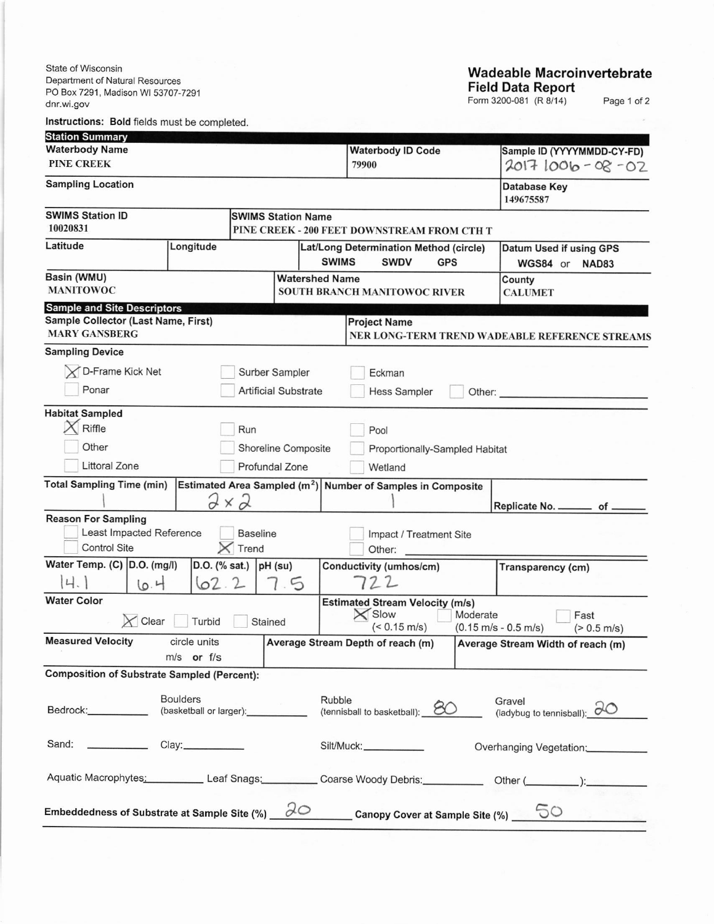State of Wisconsin Department of Natural Resources PO Box 7291, Madison WI 53707-7291 dnr.wi.gov

## Wadeable Macroinvertebrate Field Data Report

Form 3200-081 (R 8/14) Page 1 of 2

lnstructions: Bold fields must be completed

| <b>Station Summary</b>                                                |                   |                           |                             |                                                                       |                                                                                     |                                           |                                                                                                                                                                                                                                |  |  |
|-----------------------------------------------------------------------|-------------------|---------------------------|-----------------------------|-----------------------------------------------------------------------|-------------------------------------------------------------------------------------|-------------------------------------------|--------------------------------------------------------------------------------------------------------------------------------------------------------------------------------------------------------------------------------|--|--|
| <b>Waterbody Name</b>                                                 |                   |                           |                             | <b>Waterbody ID Code</b>                                              |                                                                                     | Sample ID (YYYYMMDD-CY-FD)                |                                                                                                                                                                                                                                |  |  |
| <b>PINE CREEK</b>                                                     |                   |                           |                             |                                                                       | 79900                                                                               |                                           | $20171006 - 08 - 02$                                                                                                                                                                                                           |  |  |
| <b>Sampling Location</b>                                              |                   |                           |                             |                                                                       |                                                                                     |                                           | <b>Database Key</b><br>149675587                                                                                                                                                                                               |  |  |
| <b>SWIMS Station ID</b>                                               |                   | <b>SWIMS Station Name</b> |                             |                                                                       |                                                                                     |                                           |                                                                                                                                                                                                                                |  |  |
| 10020831                                                              |                   |                           |                             |                                                                       | PINE CREEK - 200 FEET DOWNSTREAM FROM CTH T                                         |                                           |                                                                                                                                                                                                                                |  |  |
| Latitude                                                              |                   | Longitude                 |                             |                                                                       | Lat/Long Determination Method (circle)<br><b>SWIMS</b><br><b>SWDV</b><br><b>GPS</b> | Datum Used if using GPS<br>WGS84 or NAD83 |                                                                                                                                                                                                                                |  |  |
| Basin (WMU)<br><b>MANITOWOC</b>                                       |                   |                           |                             | <b>Watershed Name</b><br><b>SOUTH BRANCH MANITOWOC RIVER</b>          |                                                                                     |                                           | County<br><b>CALUMET</b>                                                                                                                                                                                                       |  |  |
| <b>Sample and Site Descriptors</b>                                    |                   |                           |                             |                                                                       |                                                                                     |                                           |                                                                                                                                                                                                                                |  |  |
| Sample Collector (Last Name, First)<br><b>MARY GANSBERG</b>           |                   |                           |                             | <b>Project Name</b><br>NER LONG-TERM TREND WADEABLE REFERENCE STREAMS |                                                                                     |                                           |                                                                                                                                                                                                                                |  |  |
| <b>Sampling Device</b>                                                |                   |                           |                             |                                                                       |                                                                                     |                                           |                                                                                                                                                                                                                                |  |  |
| D-Frame Kick Net                                                      |                   |                           | Surber Sampler              |                                                                       | Eckman                                                                              |                                           |                                                                                                                                                                                                                                |  |  |
| Ponar                                                                 |                   |                           | <b>Artificial Substrate</b> |                                                                       | <b>Hess Sampler</b>                                                                 |                                           |                                                                                                                                                                                                                                |  |  |
|                                                                       |                   |                           |                             |                                                                       |                                                                                     |                                           | Other: and the state of the state of the state of the state of the state of the state of the state of the state of the state of the state of the state of the state of the state of the state of the state of the state of the |  |  |
| <b>Habitat Sampled</b>                                                |                   |                           |                             |                                                                       |                                                                                     |                                           |                                                                                                                                                                                                                                |  |  |
| Riffle<br>Run<br>Pool                                                 |                   |                           |                             |                                                                       |                                                                                     |                                           |                                                                                                                                                                                                                                |  |  |
| Other                                                                 |                   |                           | Shoreline Composite         |                                                                       | Proportionally-Sampled Habitat                                                      |                                           |                                                                                                                                                                                                                                |  |  |
| Littoral Zone                                                         |                   | Profundal Zone            |                             |                                                                       | Wetland                                                                             |                                           |                                                                                                                                                                                                                                |  |  |
| <b>Total Sampling Time (min)</b>                                      |                   |                           |                             |                                                                       | Estimated Area Sampled $(m^2)$ Number of Samples in Composite                       |                                           |                                                                                                                                                                                                                                |  |  |
|                                                                       |                   | $2 \times 2$              |                             |                                                                       |                                                                                     |                                           | Replicate No. _________ of _                                                                                                                                                                                                   |  |  |
| <b>Reason For Sampling</b>                                            |                   |                           |                             |                                                                       |                                                                                     |                                           |                                                                                                                                                                                                                                |  |  |
| Least Impacted Reference                                              |                   | <b>Baseline</b>           |                             |                                                                       | Impact / Treatment Site                                                             |                                           |                                                                                                                                                                                                                                |  |  |
| <b>Control Site</b>                                                   |                   | Trend                     |                             |                                                                       | Other:                                                                              |                                           |                                                                                                                                                                                                                                |  |  |
| Water Temp. (C) D.O. (mg/l)                                           |                   | D.O. (% sat.) $ pH$ (su)  |                             |                                                                       | Conductivity (umhos/cm)                                                             |                                           | Transparency (cm)                                                                                                                                                                                                              |  |  |
| 4.1                                                                   | 10.4              | 62.2                      | 7.5                         |                                                                       | 722                                                                                 |                                           |                                                                                                                                                                                                                                |  |  |
| <b>Water Color</b>                                                    |                   |                           |                             |                                                                       | <b>Estimated Stream Velocity (m/s)</b>                                              |                                           |                                                                                                                                                                                                                                |  |  |
| $\times$ Clear                                                        | Turbid            | Stained                   |                             |                                                                       | $\times$ Slow                                                                       | Moderate                                  | Fast                                                                                                                                                                                                                           |  |  |
| <b>Measured Velocity</b>                                              | circle units      |                           |                             |                                                                       | $(< 0.15$ m/s)                                                                      |                                           | $(0.15 \text{ m/s} - 0.5 \text{ m/s})$<br>$(> 0.5 \text{ m/s})$                                                                                                                                                                |  |  |
|                                                                       | m/s or f/s        |                           |                             |                                                                       | Average Stream Depth of reach (m)                                                   |                                           | Average Stream Width of reach (m)                                                                                                                                                                                              |  |  |
| <b>Composition of Substrate Sampled (Percent):</b>                    |                   |                           |                             |                                                                       |                                                                                     |                                           |                                                                                                                                                                                                                                |  |  |
|                                                                       | <b>Boulders</b>   |                           |                             | Rubble                                                                |                                                                                     |                                           |                                                                                                                                                                                                                                |  |  |
| Bedrock: New York<br>(basketball or larger):                          |                   |                           |                             |                                                                       | Gravel<br>(ladybug to tennisball): $\partial O$<br>(tennisball to basketball): 80   |                                           |                                                                                                                                                                                                                                |  |  |
|                                                                       |                   |                           |                             |                                                                       |                                                                                     |                                           |                                                                                                                                                                                                                                |  |  |
| Sand:                                                                 | Clay:____________ |                           |                             |                                                                       | Silt/Muck:                                                                          |                                           | Overhanging Vegetation:                                                                                                                                                                                                        |  |  |
|                                                                       |                   |                           |                             |                                                                       |                                                                                     |                                           |                                                                                                                                                                                                                                |  |  |
| Aquatic Macrophytes: Leaf Snags: Coarse Woody Debris: Other (         |                   |                           |                             |                                                                       |                                                                                     |                                           |                                                                                                                                                                                                                                |  |  |
|                                                                       |                   |                           |                             |                                                                       |                                                                                     |                                           |                                                                                                                                                                                                                                |  |  |
| Embeddedness of Substrate at Sample Site $(\%)$ $\partial\mathcal{O}$ |                   |                           |                             |                                                                       | Canopy Cover at Sample Site (%)                                                     |                                           | 50                                                                                                                                                                                                                             |  |  |
|                                                                       |                   |                           |                             |                                                                       |                                                                                     |                                           |                                                                                                                                                                                                                                |  |  |